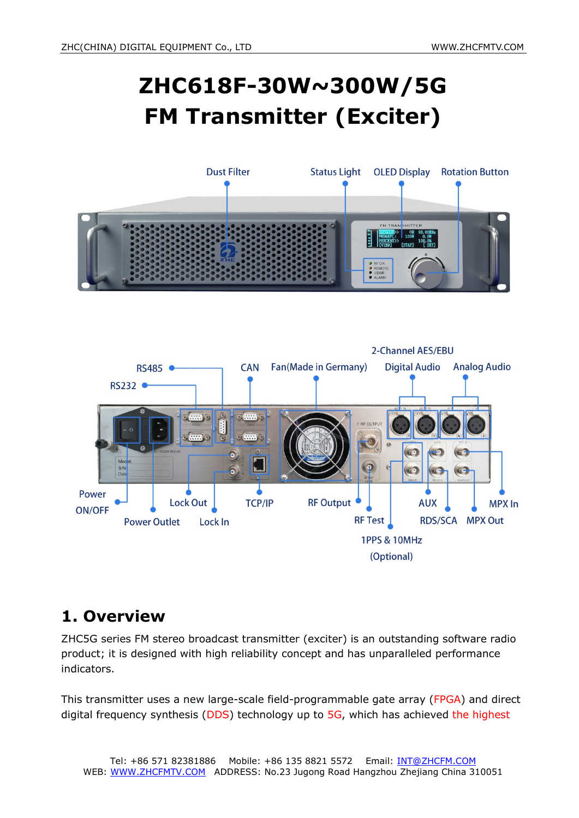# **ZHC618F-30W~300W/5G FM Transmitter (Exciter)**





# **1. Overview**

ZHC5G series FM stereo broadcast transmitter (exciter) is an outstanding software radio product; it is designed with high reliability concept and has unparalleled performance indicators.

This transmitter uses a new large-scale field-programmable gate array (FPGA) and direct digital frequency synthesis (DDS) technology up to 5G, which has achieved the highest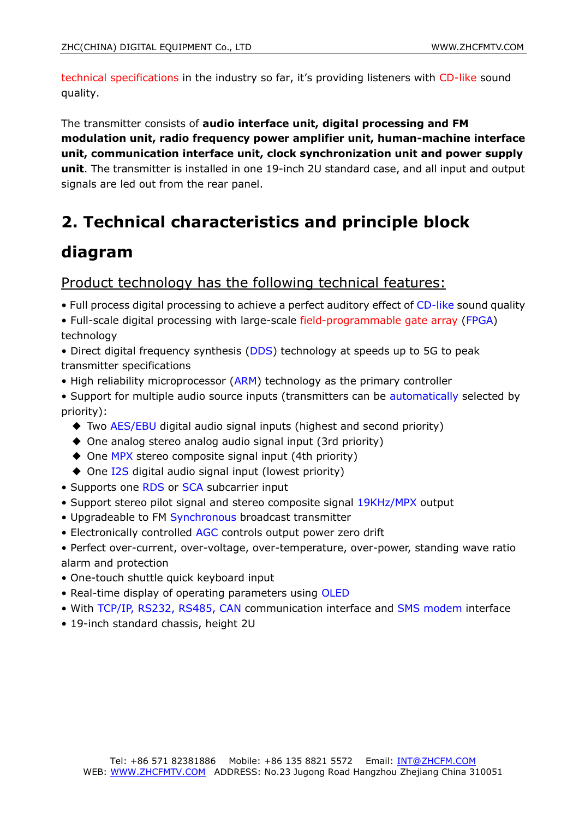technical specifications in the industry so far, it's providing listeners with CD-like sound quality.

The transmitter consists of **audio interface unit, digital processing and FM modulation unit, radio frequency power amplifier unit, human-machine interface unit, communication interface unit, clock synchronization unit and power supply unit**. The transmitter is installed in one 19-inch 2U standard case, and all input and output signals are led out from the rear panel.

# **2. Technical characteristics and principle block**

### **diagram**

#### Product technology has the following technical features:

- Full process digital processing to achieve a perfect auditory effect of CD-like sound quality
- Full-scale digital processing with large-scale field-programmable gate array (FPGA) technology
- Direct digital frequency synthesis (DDS) technology at speeds up to 5G to peak transmitter specifications
- High reliability microprocessor (ARM) technology as the primary controller
- Support for multiple audio source inputs (transmitters can be automatically selected by priority):
	- ◆ Two AES/EBU digital audio signal inputs (highest and second priority)
	- ◆ One analog stereo analog audio signal input (3rd priority)
	- ◆ One MPX stereo composite signal input (4th priority)
	- ◆ One I2S digital audio signal input (lowest priority)
- Supports one RDS or SCA subcarrier input
- Support stereo pilot signal and stereo composite signal 19KHz/MPX output
- Upgradeable to FM Synchronous broadcast transmitter
- Electronically controlled AGC controls output power zero drift
- Perfect over-current, over-voltage, over-temperature, over-power, standing wave ratio alarm and protection
- One-touch shuttle quick keyboard input
- Real-time display of operating parameters using OLED
- With TCP/IP, RS232, RS485, CAN communication interface and SMS modem interface
- 19-inch standard chassis, height 2U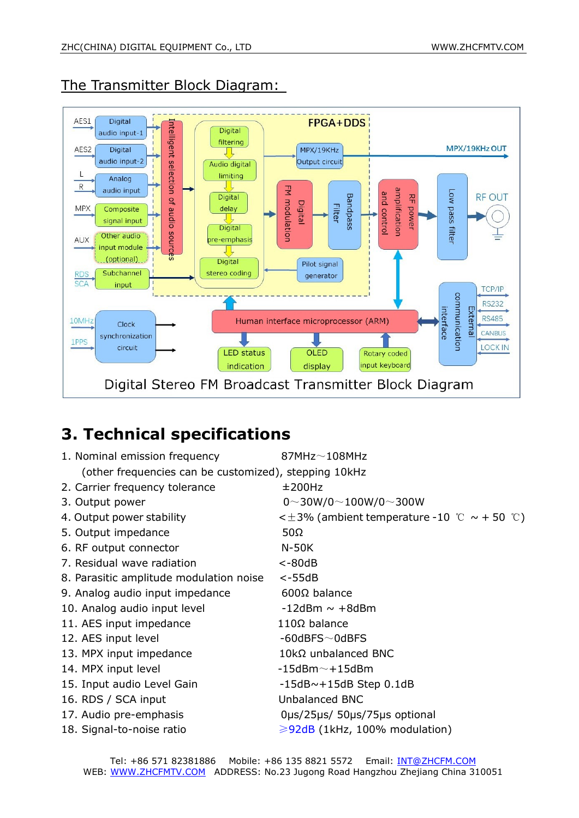The Transmitter Block Diagram:



# **3. Technical specifications**

| $87MHz\sim108MHz$                                     |
|-------------------------------------------------------|
| (other frequencies can be customized), stepping 10kHz |
| ±200Hz                                                |
| $0 \sim 30W/0 \sim 100W/0 \sim 300W$                  |
| < $\pm$ 3% (ambient temperature -10 ℃ ~ + 50 ℃)       |
| $50\Omega$                                            |
| $N-50K$                                               |
| $< -80dB$                                             |
| $< -55dB$                                             |
| $600\Omega$ balance                                   |
| $-12$ dBm ~ $+8$ dBm                                  |
| $110\Omega$ balance                                   |
| $-60$ dBFS $\sim$ 0dBFS                               |
| $10k\Omega$ unbalanced BNC                            |
| $-15$ dBm $\sim$ +15dBm                               |
| $-15dB \sim +15dB$ Step 0.1dB                         |
| Unbalanced BNC                                        |
| Ous/25us/ 50us/75us optional                          |
| $\geqslant$ 92dB (1kHz, 100% modulation)              |
|                                                       |